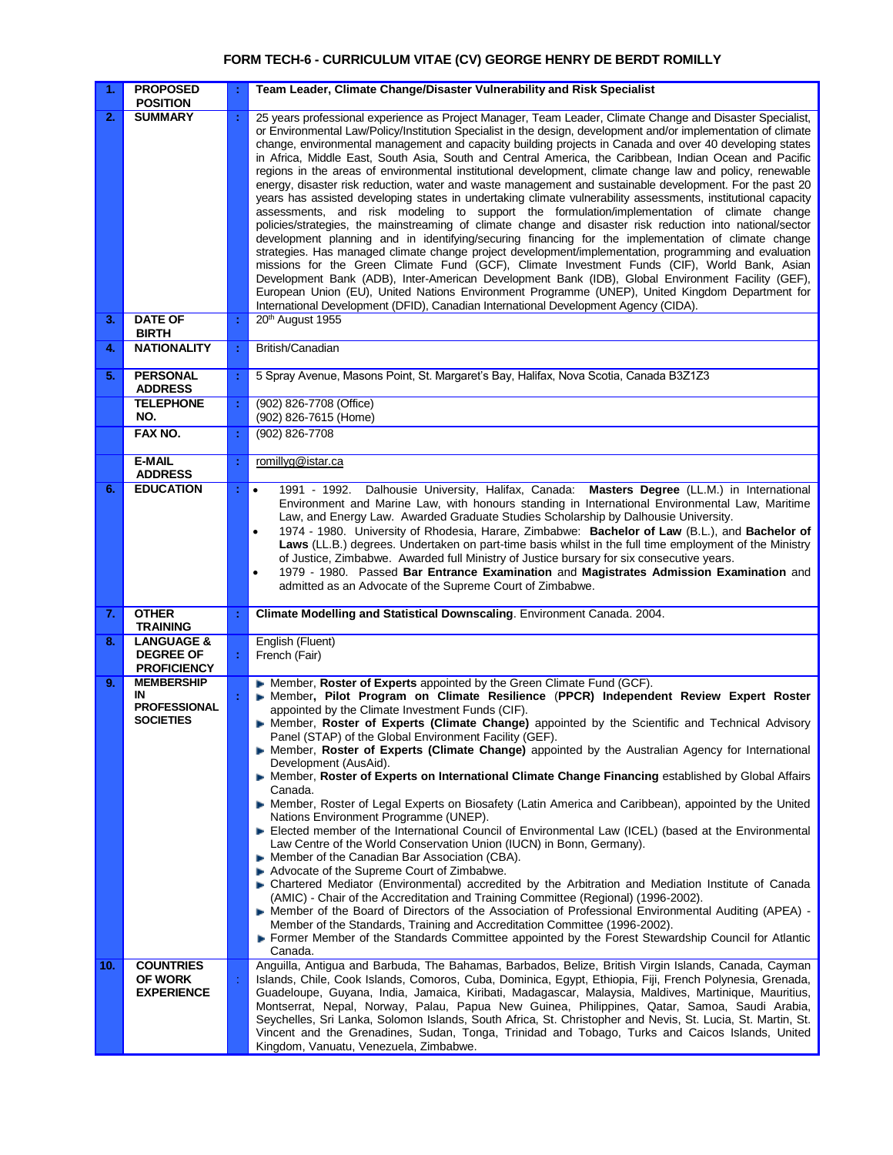# **FORM TECH-6 - CURRICULUM VITAE (CV) GEORGE HENRY DE BERDT ROMILLY**

| 1.  | <b>PROPOSED</b><br><b>POSITION</b>                                 |   | Team Leader, Climate Change/Disaster Vulnerability and Risk Specialist                                                                                                                                                                                                                                                                                                                                                                                                                                                                                                                                                                                                                                                                                                                                                                                                                                                                                                                                                                                                                                                                                                                                                                                                                                                                                                                                                                                                                                                                                                                                               |
|-----|--------------------------------------------------------------------|---|----------------------------------------------------------------------------------------------------------------------------------------------------------------------------------------------------------------------------------------------------------------------------------------------------------------------------------------------------------------------------------------------------------------------------------------------------------------------------------------------------------------------------------------------------------------------------------------------------------------------------------------------------------------------------------------------------------------------------------------------------------------------------------------------------------------------------------------------------------------------------------------------------------------------------------------------------------------------------------------------------------------------------------------------------------------------------------------------------------------------------------------------------------------------------------------------------------------------------------------------------------------------------------------------------------------------------------------------------------------------------------------------------------------------------------------------------------------------------------------------------------------------------------------------------------------------------------------------------------------------|
| 2.  | <b>SUMMARY</b>                                                     | ÷ | 25 years professional experience as Project Manager, Team Leader, Climate Change and Disaster Specialist,<br>or Environmental Law/Policy/Institution Specialist in the design, development and/or implementation of climate<br>change, environmental management and capacity building projects in Canada and over 40 developing states<br>in Africa, Middle East, South Asia, South and Central America, the Caribbean, Indian Ocean and Pacific<br>regions in the areas of environmental institutional development, climate change law and policy, renewable<br>energy, disaster risk reduction, water and waste management and sustainable development. For the past 20<br>years has assisted developing states in undertaking climate vulnerability assessments, institutional capacity<br>assessments, and risk modeling to support the formulation/implementation of climate change<br>policies/strategies, the mainstreaming of climate change and disaster risk reduction into national/sector<br>development planning and in identifying/securing financing for the implementation of climate change<br>strategies. Has managed climate change project development/implementation, programming and evaluation<br>missions for the Green Climate Fund (GCF), Climate Investment Funds (CIF), World Bank, Asian<br>Development Bank (ADB), Inter-American Development Bank (IDB), Global Environment Facility (GEF),<br>European Union (EU), United Nations Environment Programme (UNEP), United Kingdom Department for<br>International Development (DFID), Canadian International Development Agency (CIDA). |
| 3.  | <b>DATE OF</b><br><b>BIRTH</b>                                     | ÷ | 20 <sup>th</sup> August 1955                                                                                                                                                                                                                                                                                                                                                                                                                                                                                                                                                                                                                                                                                                                                                                                                                                                                                                                                                                                                                                                                                                                                                                                                                                                                                                                                                                                                                                                                                                                                                                                         |
| 4.  | <b>NATIONALITY</b>                                                 | ÷ | British/Canadian                                                                                                                                                                                                                                                                                                                                                                                                                                                                                                                                                                                                                                                                                                                                                                                                                                                                                                                                                                                                                                                                                                                                                                                                                                                                                                                                                                                                                                                                                                                                                                                                     |
| 5.  | <b>PERSONAL</b><br><b>ADDRESS</b>                                  | t | 5 Spray Avenue, Masons Point, St. Margaret's Bay, Halifax, Nova Scotia, Canada B3Z1Z3                                                                                                                                                                                                                                                                                                                                                                                                                                                                                                                                                                                                                                                                                                                                                                                                                                                                                                                                                                                                                                                                                                                                                                                                                                                                                                                                                                                                                                                                                                                                |
|     | <b>TELEPHONE</b><br>NO.                                            | ÷ | (902) 826-7708 (Office)<br>(902) 826-7615 (Home)                                                                                                                                                                                                                                                                                                                                                                                                                                                                                                                                                                                                                                                                                                                                                                                                                                                                                                                                                                                                                                                                                                                                                                                                                                                                                                                                                                                                                                                                                                                                                                     |
|     | FAX NO.                                                            | ÷ | (902) 826-7708                                                                                                                                                                                                                                                                                                                                                                                                                                                                                                                                                                                                                                                                                                                                                                                                                                                                                                                                                                                                                                                                                                                                                                                                                                                                                                                                                                                                                                                                                                                                                                                                       |
|     | <b>E-MAIL</b><br><b>ADDRESS</b>                                    | ÷ | romillyg@istar.ca                                                                                                                                                                                                                                                                                                                                                                                                                                                                                                                                                                                                                                                                                                                                                                                                                                                                                                                                                                                                                                                                                                                                                                                                                                                                                                                                                                                                                                                                                                                                                                                                    |
| 6.  | <b>EDUCATION</b>                                                   | ÷ | 1991 - 1992. Dalhousie University, Halifax, Canada: Masters Degree (LL.M.) in International<br>$\bullet$<br>Environment and Marine Law, with honours standing in International Environmental Law, Maritime<br>Law, and Energy Law. Awarded Graduate Studies Scholarship by Dalhousie University.<br>1974 - 1980. University of Rhodesia, Harare, Zimbabwe: Bachelor of Law (B.L.), and Bachelor of<br>Laws (LL.B.) degrees. Undertaken on part-time basis whilst in the full time employment of the Ministry<br>of Justice, Zimbabwe. Awarded full Ministry of Justice bursary for six consecutive years.<br>1979 - 1980. Passed Bar Entrance Examination and Magistrates Admission Examination and<br>admitted as an Advocate of the Supreme Court of Zimbabwe.                                                                                                                                                                                                                                                                                                                                                                                                                                                                                                                                                                                                                                                                                                                                                                                                                                                     |
| 7.  | <b>OTHER</b><br><b>TRAINING</b>                                    | ÷ | Climate Modelling and Statistical Downscaling. Environment Canada. 2004.                                                                                                                                                                                                                                                                                                                                                                                                                                                                                                                                                                                                                                                                                                                                                                                                                                                                                                                                                                                                                                                                                                                                                                                                                                                                                                                                                                                                                                                                                                                                             |
| 8.  | <b>LANGUAGE &amp;</b><br><b>DEGREE OF</b><br><b>PROFICIENCY</b>    | ÷ | English (Fluent)<br>French (Fair)                                                                                                                                                                                                                                                                                                                                                                                                                                                                                                                                                                                                                                                                                                                                                                                                                                                                                                                                                                                                                                                                                                                                                                                                                                                                                                                                                                                                                                                                                                                                                                                    |
| 9.  | <b>MEMBERSHIP</b><br>IN<br><b>PROFESSIONAL</b><br><b>SOCIETIES</b> |   | • Member, Roster of Experts appointed by the Green Climate Fund (GCF).<br>Member, Pilot Program on Climate Resilience (PPCR) Independent Review Expert Roster<br>appointed by the Climate Investment Funds (CIF).<br>Member, Roster of Experts (Climate Change) appointed by the Scientific and Technical Advisory<br>Panel (STAP) of the Global Environment Facility (GEF).<br>• Member, Roster of Experts (Climate Change) appointed by the Australian Agency for International<br>Development (AusAid).<br>• Member, Roster of Experts on International Climate Change Financing established by Global Affairs<br>Canada.<br>Member, Roster of Legal Experts on Biosafety (Latin America and Caribbean), appointed by the United<br>Nations Environment Programme (UNEP).<br>Elected member of the International Council of Environmental Law (ICEL) (based at the Environmental<br>Law Centre of the World Conservation Union (IUCN) in Bonn, Germany).<br>• Member of the Canadian Bar Association (CBA).<br>Advocate of the Supreme Court of Zimbabwe.<br>- Chartered Mediator (Environmental) accredited by the Arbitration and Mediation Institute of Canada<br>(AMIC) - Chair of the Accreditation and Training Committee (Regional) (1996-2002).<br>• Member of the Board of Directors of the Association of Professional Environmental Auditing (APEA) -<br>Member of the Standards, Training and Accreditation Committee (1996-2002).<br>Former Member of the Standards Committee appointed by the Forest Stewardship Council for Atlantic<br>Canada.                                                    |
| 10. | <b>COUNTRIES</b><br><b>OF WORK</b><br><b>EXPERIENCE</b>            |   | Anguilla, Antigua and Barbuda, The Bahamas, Barbados, Belize, British Virgin Islands, Canada, Cayman<br>Islands, Chile, Cook Islands, Comoros, Cuba, Dominica, Egypt, Ethiopia, Fiji, French Polynesia, Grenada,<br>Guadeloupe, Guyana, India, Jamaica, Kiribati, Madagascar, Malaysia, Maldives, Martinique, Mauritius,<br>Montserrat, Nepal, Norway, Palau, Papua New Guinea, Philippines, Qatar, Samoa, Saudi Arabia,<br>Seychelles, Sri Lanka, Solomon Islands, South Africa, St. Christopher and Nevis, St. Lucia, St. Martin, St.<br>Vincent and the Grenadines, Sudan, Tonga, Trinidad and Tobago, Turks and Caicos Islands, United<br>Kingdom, Vanuatu, Venezuela, Zimbabwe.                                                                                                                                                                                                                                                                                                                                                                                                                                                                                                                                                                                                                                                                                                                                                                                                                                                                                                                                 |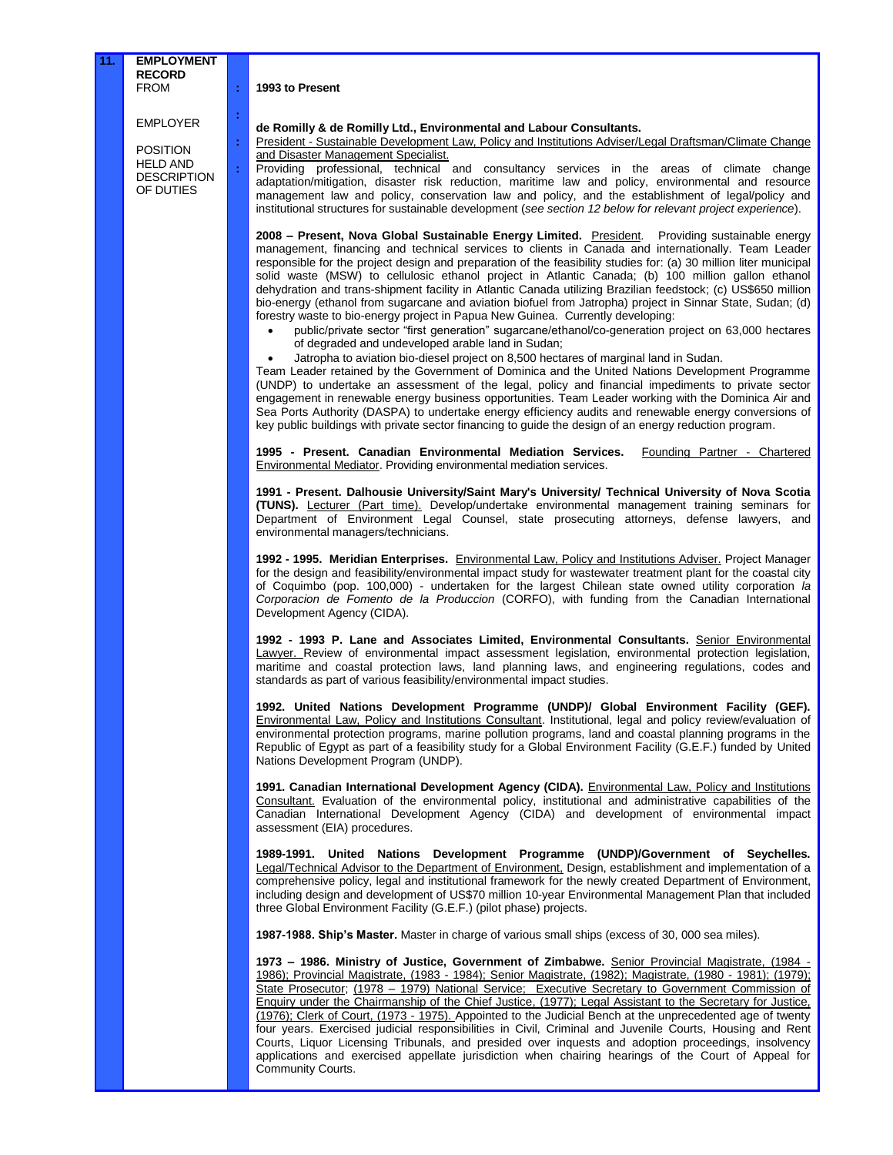# **1993 to Present**

**: : : :**

EMPLOYER

POSITION HELD AND DESCRIPTION OF DUTIES

## **de Romilly & de Romilly Ltd., Environmental and Labour Consultants.**

President - Sustainable Development Law, Policy and Institutions Adviser/Legal Draftsman/Climate Change and Disaster Management Specialist.

Providing professional, technical and consultancy services in the areas of climate change adaptation/mitigation, disaster risk reduction, maritime law and policy, environmental and resource management law and policy, conservation law and policy, and the establishment of legal/policy and institutional structures for sustainable development (*see section 12 below for relevant project experience*).

**2008 – Present, Nova Global Sustainable Energy Limited.** President. Providing sustainable energy management, financing and technical services to clients in Canada and internationally. Team Leader responsible for the project design and preparation of the feasibility studies for: (a) 30 million liter municipal solid waste (MSW) to cellulosic ethanol project in Atlantic Canada; (b) 100 million gallon ethanol dehydration and trans-shipment facility in Atlantic Canada utilizing Brazilian feedstock; (c) US\$650 million bio-energy (ethanol from sugarcane and aviation biofuel from Jatropha) project in Sinnar State, Sudan; (d) forestry waste to bio-energy project in Papua New Guinea. Currently developing:

- public/private sector "first generation" sugarcane/ethanol/co-generation project on 63,000 hectares of degraded and undeveloped arable land in Sudan;
- Jatropha to aviation bio-diesel project on 8,500 hectares of marginal land in Sudan.

Team Leader retained by the Government of Dominica and the United Nations Development Programme (UNDP) to undertake an assessment of the legal, policy and financial impediments to private sector engagement in renewable energy business opportunities. Team Leader working with the Dominica Air and Sea Ports Authority (DASPA) to undertake energy efficiency audits and renewable energy conversions of key public buildings with private sector financing to guide the design of an energy reduction program.

**1995 - Present. Canadian Environmental Mediation Services.** Founding Partner - Chartered Environmental Mediator. Providing environmental mediation services.

**1991 - Present. Dalhousie University/Saint Mary's University/ Technical University of Nova Scotia (TUNS).** Lecturer (Part time). Develop/undertake environmental management training seminars for Department of Environment Legal Counsel, state prosecuting attorneys, defense lawyers, and environmental managers/technicians.

**1992 - 1995. Meridian Enterprises.** Environmental Law, Policy and Institutions Adviser. Project Manager for the design and feasibility/environmental impact study for wastewater treatment plant for the coastal city of Coquimbo (pop. 100,000) - undertaken for the largest Chilean state owned utility corporation *la Corporacion de Fomento de la Produccion* (CORFO), with funding from the Canadian International Development Agency (CIDA).

**1992 - 1993 P. Lane and Associates Limited, Environmental Consultants.** Senior Environmental Lawyer. Review of environmental impact assessment legislation, environmental protection legislation, maritime and coastal protection laws, land planning laws, and engineering regulations, codes and standards as part of various feasibility/environmental impact studies.

**1992. United Nations Development Programme (UNDP)/ Global Environment Facility (GEF).**  Environmental Law, Policy and Institutions Consultant. Institutional, legal and policy review/evaluation of environmental protection programs, marine pollution programs, land and coastal planning programs in the Republic of Egypt as part of a feasibility study for a Global Environment Facility (G.E.F.) funded by United Nations Development Program (UNDP).

**1991. Canadian International Development Agency (CIDA).** Environmental Law, Policy and Institutions Consultant. Evaluation of the environmental policy, institutional and administrative capabilities of the Canadian International Development Agency (CIDA) and development of environmental impact assessment (EIA) procedures.

**1989-1991. United Nations Development Programme (UNDP)/Government of Seychelles.**  Legal/Technical Advisor to the Department of Environment, Design, establishment and implementation of a comprehensive policy, legal and institutional framework for the newly created Department of Environment, including design and development of US\$70 million 10-year Environmental Management Plan that included three Global Environment Facility (G.E.F.) (pilot phase) projects.

**1987-1988. Ship's Master.** Master in charge of various small ships (excess of 30, 000 sea miles).

**1973 – 1986. Ministry of Justice, Government of Zimbabwe.** Senior Provincial Magistrate, (1984 - 1986); Provincial Magistrate, (1983 - 1984); Senior Magistrate, (1982); Magistrate, (1980 - 1981); (1979); State Prosecutor; (1978 – 1979) National Service; Executive Secretary to Government Commission of Enquiry under the Chairmanship of the Chief Justice, (1977); Legal Assistant to the Secretary for Justice, (1976); Clerk of Court, (1973 - 1975). Appointed to the Judicial Bench at the unprecedented age of twenty four years. Exercised judicial responsibilities in Civil, Criminal and Juvenile Courts, Housing and Rent Courts, Liquor Licensing Tribunals, and presided over inquests and adoption proceedings, insolvency applications and exercised appellate jurisdiction when chairing hearings of the Court of Appeal for Community Courts.

#### **11. EMPLOYMENT RECORD** FROM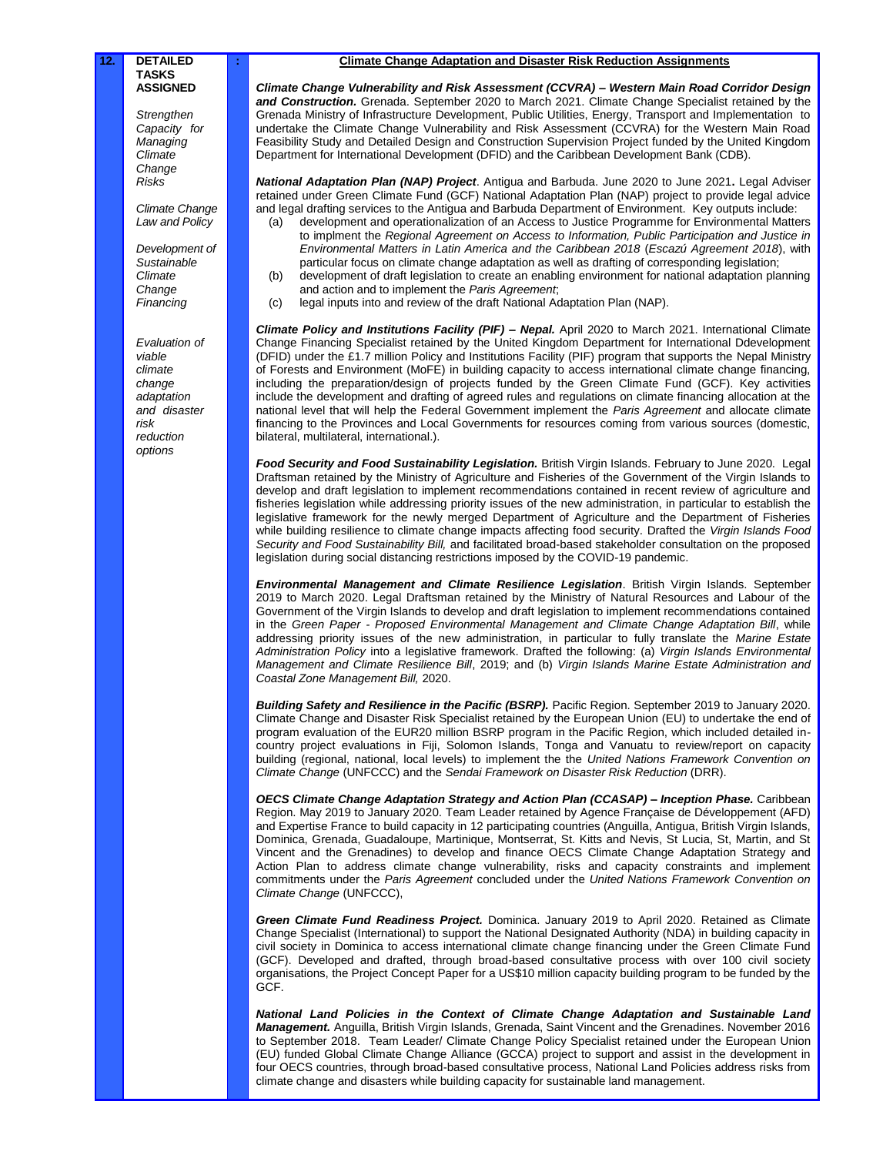*Strengthen Capacity for Managing Climate Change Risks*

*Climate Change Law and Policy*

*Development of Sustainable Climate Change Financing*

*Evaluation of viable climate change adaptation and disaster risk reduction options*

#### **: Climate Change Adaptation and Disaster Risk Reduction Assignments**

*Climate Change Vulnerability and Risk Assessment (CCVRA) – Western Main Road Corridor Design and Construction.* Grenada. September 2020 to March 2021. Climate Change Specialist retained by the Grenada Ministry of Infrastructure Development, Public Utilities, Energy, Transport and Implementation to undertake the Climate Change Vulnerability and Risk Assessment (CCVRA) for the Western Main Road Feasibility Study and Detailed Design and Construction Supervision Project funded by the United Kingdom Department for International Development (DFID) and the Caribbean Development Bank (CDB).

*National Adaptation Plan (NAP) Project*. Antigua and Barbuda. June 2020 to June 2021**.** Legal Adviser retained under Green Climate Fund (GCF) National Adaptation Plan (NAP) project to provide legal advice and legal drafting services to the Antigua and Barbuda Department of Environment.Key outputs include:

- development and operationalization of an Access to Justice Programme for Environmental Matters to implment the *Regional Agreement on Access to Information, Public Participation and Justice in Environmental Matters in Latin America and the Caribbean 2018* (*Escazú Agreement 2018*), with particular focus on climate change adaptation as well as drafting of corresponding legislation;
- (b) development of draft legislation to create an enabling environment for national adaptation planning and action and to implement the *Paris Agreement*;
- (c) legal inputs into and review of the draft National Adaptation Plan (NAP).

*Climate Policy and Institutions Facility (PIF) – Nepal.* April 2020 to March 2021. International Climate Change Financing Specialist retained by the United Kingdom Department for International Ddevelopment (DFID) under the £1.7 million Policy and Institutions Facility (PIF) program that supports the Nepal Ministry of Forests and Environment (MoFE) in building capacity to access international climate change financing, including the preparation/design of projects funded by the Green Climate Fund (GCF). Key activities include the development and drafting of agreed rules and regulations on climate financing allocation at the national level that will help the Federal Government implement the *Paris Agreement* and allocate climate financing to the Provinces and Local Governments for resources coming from various sources (domestic, bilateral, multilateral, international.).

*Food Security and Food Sustainability Legislation.* British Virgin Islands. February to June 2020. Legal Draftsman retained by the Ministry of Agriculture and Fisheries of the Government of the Virgin Islands to develop and draft legislation to implement recommendations contained in recent review of agriculture and fisheries legislation while addressing priority issues of the new administration, in particular to establish the legislative framework for the newly merged Department of Agriculture and the Department of Fisheries while building resilience to climate change impacts affecting food security. Drafted the *Virgin Islands Food Security and Food Sustainability Bill,* and facilitated broad-based stakeholder consultation on the proposed legislation during social distancing restrictions imposed by the COVID-19 pandemic.

*Environmental Management and Climate Resilience Legislation*. British Virgin Islands. September 2019 to March 2020. Legal Draftsman retained by the Ministry of Natural Resources and Labour of the Government of the Virgin Islands to develop and draft legislation to implement recommendations contained in the *Green Paper - Proposed Environmental Management and Climate Change Adaptation Bill*, while addressing priority issues of the new administration, in particular to fully translate the *Marine Estate Administration Policy* into a legislative framework. Drafted the following: (a) *Virgin Islands Environmental Management and Climate Resilience Bill*, 2019; and (b) *Virgin Islands Marine Estate Administration and Coastal Zone Management Bill,* 2020.

**Building Safety and Resilience in the Pacific (BSRP).** Pacific Region. September 2019 to January 2020. Climate Change and Disaster Risk Specialist retained by the European Union (EU) to undertake the end of program evaluation of the EUR20 million BSRP program in the Pacific Region, which included detailed incountry project evaluations in Fiji, Solomon Islands, Tonga and Vanuatu to review/report on capacity building (regional, national, local levels) to implement the the *United Nations Framework Convention on Climate Change* (UNFCCC) and the *Sendai Framework on Disaster Risk Reduction* (DRR).

*OECS Climate Change Adaptation Strategy and Action Plan (CCASAP) – Inception Phase.* Caribbean Region. May 2019 to January 2020. Team Leader retained by Agence Française de Développement (AFD) and Expertise France to build capacity in 12 participating countries (Anguilla, Antigua, British Virgin Islands, Dominica, Grenada, Guadaloupe, Martinique, Montserrat, St. Kitts and Nevis, St Lucia, St, Martin, and St Vincent and the Grenadines) to develop and finance OECS Climate Change Adaptation Strategy and Action Plan to address climate change vulnerability, risks and capacity constraints and implement commitments under the *Paris Agreement* concluded under the *United Nations Framework Convention on Climate Change* (UNFCCC),

*Green Climate Fund Readiness Project.* Dominica. January 2019 to April 2020. Retained as Climate Change Specialist (International) to support the National Designated Authority (NDA) in building capacity in civil society in Dominica to access international climate change financing under the Green Climate Fund (GCF). Developed and drafted, through broad-based consultative process with over 100 civil society organisations, the Project Concept Paper for a US\$10 million capacity building program to be funded by the GČF.

*National Land Policies in the Context of Climate Change Adaptation and Sustainable Land Management.* Anguilla, British Virgin Islands, Grenada, Saint Vincent and the Grenadines. November 2016 to September 2018. Team Leader/ Climate Change Policy Specialist retained under the European Union (EU) funded Global Climate Change Alliance (GCCA) project to support and assist in the development in four OECS countries, through broad-based consultative process, National Land Policies address risks from climate change and disasters while building capacity for sustainable land management.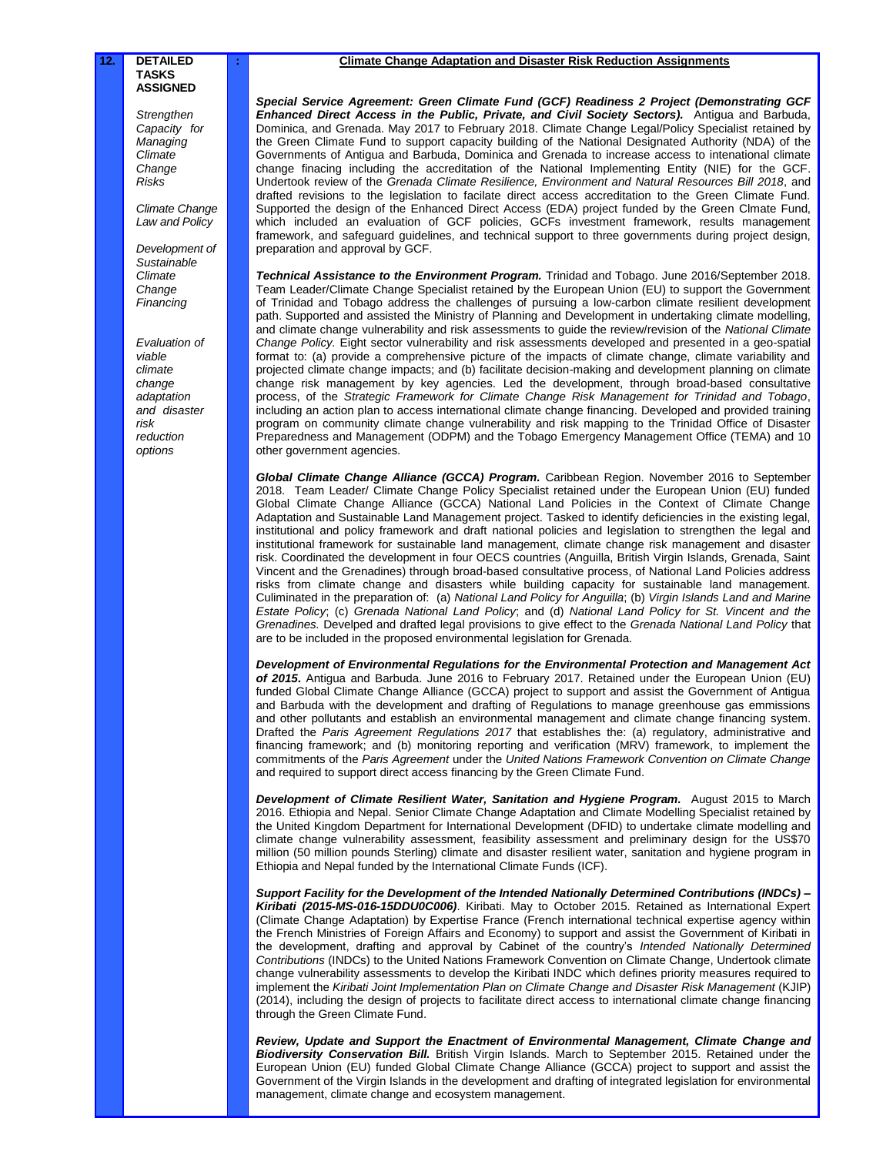*Strengthen Capacity for Managing Climate Change Risks*

*Climate Change Law and Policy*

*Development of Sustainable Climate Change Financing*

*Evaluation of viable climate change adaptation and disaster risk reduction options*

### **: Climate Change Adaptation and Disaster Risk Reduction Assignments**

*Special Service Agreement: Green Climate Fund (GCF) Readiness 2 Project (Demonstrating GCF Enhanced Direct Access in the Public, Private, and Civil Society Sectors).* Antigua and Barbuda, Dominica, and Grenada. May 2017 to February 2018. Climate Change Legal/Policy Specialist retained by the Green Climate Fund to support capacity building of the National Designated Authority (NDA) of the Governments of Antigua and Barbuda, Dominica and Grenada to increase access to intenational climate change finacing including the accreditation of the National Implementing Entity (NIE) for the GCF. Undertook review of the *Grenada Climate Resilience, Environment and Natural Resources Bill 2018*, and drafted revisions to the legislation to facilate direct access accreditation to the Green Climate Fund. Supported the design of the Enhanced Direct Access (EDA) project funded by the Green Clmate Fund, which included an evaluation of GCF policies, GCFs investment framework, results management framework, and safeguard guidelines, and technical support to three governments during project design, preparation and approval by GCF.

*Technical Assistance to the Environment Program.* Trinidad and Tobago. June 2016/September 2018. Team Leader/Climate Change Specialist retained by the European Union (EU) to support the Government of Trinidad and Tobago address the challenges of pursuing a low-carbon climate resilient development path. Supported and assisted the Ministry of Planning and Development in undertaking climate modelling, and climate change vulnerability and risk assessments to guide the review/revision of the *National Climate Change Policy.* Eight sector vulnerability and risk assessments developed and presented in a geo-spatial format to: (a) provide a comprehensive picture of the impacts of climate change, climate variability and projected climate change impacts; and (b) facilitate decision-making and development planning on climate change risk management by key agencies. Led the development, through broad-based consultative process, of the *Strategic Framework for Climate Change Risk Management for Trinidad and Tobago*, including an action plan to access international climate change financing. Developed and provided training program on community climate change vulnerability and risk mapping to the Trinidad Office of Disaster Preparedness and Management (ODPM) and the Tobago Emergency Management Office (TEMA) and 10 other government agencies.

*Global Climate Change Alliance (GCCA) Program.* Caribbean Region. November 2016 to September 2018. Team Leader/ Climate Change Policy Specialist retained under the European Union (EU) funded Global Climate Change Alliance (GCCA) National Land Policies in the Context of Climate Change Adaptation and Sustainable Land Management project. Tasked to identify deficiencies in the existing legal, institutional and policy framework and draft national policies and legislation to strengthen the legal and institutional framework for sustainable land management, climate change risk management and disaster risk. Coordinated the development in four OECS countries (Anguilla, British Virgin Islands, Grenada, Saint Vincent and the Grenadines) through broad-based consultative process, of National Land Policies address risks from climate change and disasters while building capacity for sustainable land management. Culiminated in the preparation of: (a) *National Land Policy for Anguilla*; (b) *Virgin Islands Land and Marine Estate Policy*; (c) *Grenada National Land Policy*; and (d) *National Land Policy for St. Vincent and the Grenadines.* Develped and drafted legal provisions to give effect to the *Grenada National Land Policy* that are to be included in the proposed environmental legislation for Grenada.

*Development of Environmental Regulations for the Environmental Protection and Management Act of 2015***.** Antigua and Barbuda. June 2016 to February 2017. Retained under the European Union (EU) funded Global Climate Change Alliance (GCCA) project to support and assist the Government of Antigua and Barbuda with the development and drafting of Regulations to manage greenhouse gas emmissions and other pollutants and establish an environmental management and climate change financing system. Drafted the *Paris Agreement Regulations 2017* that establishes the: (a) regulatory, administrative and financing framework; and (b) monitoring reporting and verification (MRV) framework, to implement the commitments of the *Paris Agreement* under the *United Nations Framework Convention on Climate Change* and required to support direct access financing by the Green Climate Fund.

Development of Climate Resilient Water, Sanitation and Hygiene Program. August 2015 to March 2016. Ethiopia and Nepal. Senior Climate Change Adaptation and Climate Modelling Specialist retained by the United Kingdom Department for International Development (DFID) to undertake climate modelling and climate change vulnerability assessment, feasibility assessment and preliminary design for the US\$70 million (50 million pounds Sterling) climate and disaster resilient water, sanitation and hygiene program in Ethiopia and Nepal funded by the International Climate Funds (ICF).

*Support Facility for the Development of the Intended Nationally Determined Contributions (INDCs) – Kiribati (2015-MS-016-15DDU0C006)*. Kiribati. May to October 2015. Retained as International Expert (Climate Change Adaptation) by Expertise France (French international technical expertise agency within the French Ministries of Foreign Affairs and Economy) to support and assist the Government of Kiribati in the development, drafting and approval by Cabinet of the country's *Intended Nationally Determined Contributions* (INDCs) to the United Nations Framework Convention on Climate Change, Undertook climate change vulnerability assessments to develop the Kiribati INDC which defines priority measures required to implement the *Kiribati Joint Implementation Plan on Climate Change and Disaster Risk Management* (KJIP) (2014), including the design of projects to facilitate direct access to international climate change financing through the Green Climate Fund.

*Review, Update and Support the Enactment of Environmental Management, Climate Change and Biodiversity Conservation Bill.* British Virgin Islands. March to September 2015. Retained under the European Union (EU) funded Global Climate Change Alliance (GCCA) project to support and assist the Government of the Virgin Islands in the development and drafting of integrated legislation for environmental management, climate change and ecosystem management.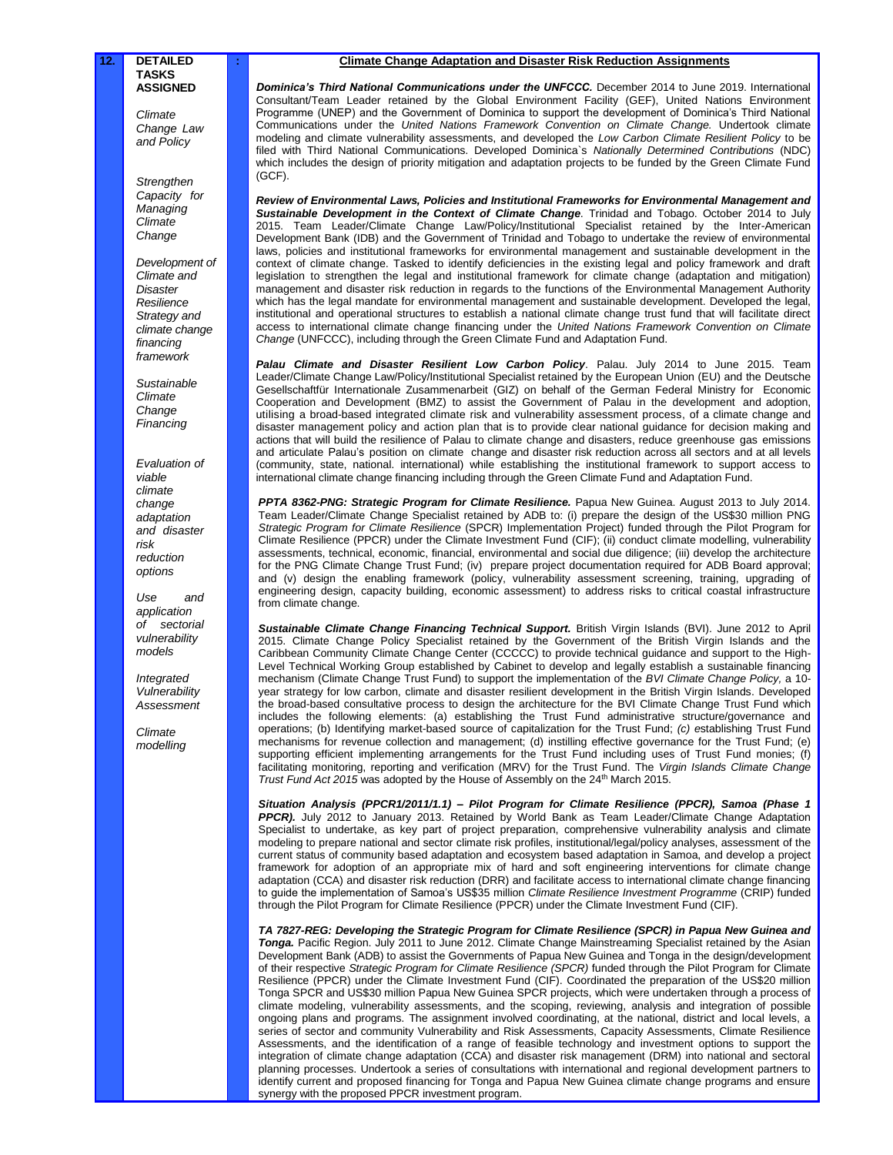*Climate Change Law and Policy*

*Strengthen Capacity for Managing Climate Change*

*Development of Climate and Disaster Resilience Strategy and climate change financing framework*

*Sustainable Climate Change Financing*

*Evaluation of viable climate change adaptation and disaster risk reduction options*

*Use and application of sectorial vulnerability models* 

*Integrated Vulnerability Assessment* 

*Climate modelling* 

#### **: Climate Change Adaptation and Disaster Risk Reduction Assignments**

*Dominica's Third National Communications under the UNFCCC.* December 2014 to June 2019. International Consultant/Team Leader retained by the Global Environment Facility (GEF), United Nations Environment Programme (UNEP) and the Government of Dominica to support the development of Dominica's Third National Communications under the *United Nations Framework Convention on Climate Change.* Undertook climate modeling and climate vulnerability assessments, and developed the *Low Carbon Climate Resilient Policy* to be filed with Third National Communications. Developed Dominica`s *Nationally Determined Contributions* (NDC) which includes the design of priority mitigation and adaptation projects to be funded by the Green Climate Fund (GCF).

*Review of Environmental Laws, Policies and Institutional Frameworks for Environmental Management and Sustainable Development in the Context of Climate Change*. Trinidad and Tobago. October 2014 to July 2015. Team Leader/Climate Change Law/Policy/Institutional Specialist retained by the Inter-American Development Bank (IDB) and the Government of Trinidad and Tobago to undertake the review of environmental laws, policies and institutional frameworks for environmental management and sustainable development in the context of climate change. Tasked to identify deficiencies in the existing legal and policy framework and draft legislation to strengthen the legal and institutional framework for climate change (adaptation and mitigation) management and disaster risk reduction in regards to the functions of the Environmental Management Authority which has the legal mandate for environmental management and sustainable development. Developed the legal, institutional and operational structures to establish a national climate change trust fund that will facilitate direct access to international climate change financing under the *United Nations Framework Convention on Climate Change* (UNFCCC), including through the Green Climate Fund and Adaptation Fund.

*Palau Climate and Disaster Resilient Low Carbon Policy*. Palau. July 2014 to June 2015. Team Leader/Climate Change Law/Policy/Institutional Specialist retained by the European Union (EU) and the Deutsche Gesellschaftfür Internationale Zusammenarbeit (GIZ) on behalf of the German Federal Ministry for Economic Cooperation and Development (BMZ) to assist the Government of Palau in the development and adoption, utilising a broad-based integrated climate risk and vulnerability assessment process, of a climate change and disaster management policy and action plan that is to provide clear national guidance for decision making and actions that will build the resilience of Palau to climate change and disasters, reduce greenhouse gas emissions and articulate Palau's position on climate change and disaster risk reduction across all sectors and at all levels (community, state, national. international) while establishing the institutional framework to support access to international climate change financing including through the Green Climate Fund and Adaptation Fund.

PPTA 8362-PNG: Strategic Program for Climate Resilience. Papua New Guinea. August 2013 to July 2014. Team Leader/Climate Change Specialist retained by ADB to: (i) prepare the design of the US\$30 million PNG *Strategic Program for Climate Resilience* (SPCR) Implementation Project) funded through the Pilot Program for Climate Resilience (PPCR) under the Climate Investment Fund (CIF); (ii) conduct climate modelling, vulnerability assessments, technical, economic, financial, environmental and social due diligence; (iii) develop the architecture for the PNG Climate Change Trust Fund; (iv) prepare project documentation required for ADB Board approval; and (v) design the enabling framework (policy, vulnerability assessment screening, training, upgrading of engineering design, capacity building, economic assessment) to address risks to critical coastal infrastructure from climate change.

Sustainable Climate Change Financing Technical Support. British Virgin Islands (BVI). June 2012 to April 2015. Climate Change Policy Specialist retained by the Government of the British Virgin Islands and the Caribbean Community Climate Change Center (CCCCC) to provide technical guidance and support to the High-Level Technical Working Group established by Cabinet to develop and legally establish a sustainable financing mechanism (Climate Change Trust Fund) to support the implementation of the *BVI Climate Change Policy,* a 10 year strategy for low carbon, climate and disaster resilient development in the British Virgin Islands. Developed the broad-based consultative process to design the architecture for the BVI Climate Change Trust Fund which includes the following elements: (a) establishing the Trust Fund administrative structure/governance and operations; (b) Identifying market-based source of capitalization for the Trust Fund; *(c) e*stablishing Trust Fund mechanisms for revenue collection and management; (d) instilling effective governance for the Trust Fund; (e) supporting efficient implementing arrangements for the Trust Fund including uses of Trust Fund monies; (f) facilitating monitoring, reporting and verification (MRV) for the Trust Fund. The *Virgin Islands Climate Change Trust Fund Act 2015* was adopted by the House of Assembly on the 24<sup>th</sup> March 2015.

*Situation Analysis (PPCR1/2011/1.1) – Pilot Program for Climate Resilience (PPCR), Samoa (Phase 1* PPCR). July 2012 to January 2013. Retained by World Bank as Team Leader/Climate Change Adaptation Specialist to undertake, as key part of project preparation, comprehensive vulnerability analysis and climate modeling to prepare national and sector climate risk profiles, institutional/legal/policy analyses, assessment of the current status of community based adaptation and ecosystem based adaptation in Samoa, and develop a project framework for adoption of an appropriate mix of hard and soft engineering interventions for climate change adaptation (CCA) and disaster risk reduction (DRR) and facilitate access to international climate change financing to guide the implementation of Samoa's US\$35 million *Climate Resilience Investment Programme* (CRIP) funded through the Pilot Program for Climate Resilience (PPCR) under the Climate Investment Fund (CIF).

*TA 7827-REG: Developing the Strategic Program for Climate Resilience (SPCR) in Papua New Guinea and Tonga.* Pacific Region. July 2011 to June 2012. Climate Change Mainstreaming Specialist retained by the Asian Development Bank (ADB) to assist the Governments of Papua New Guinea and Tonga in the design/development of their respective *Strategic Program for Climate Resilience (SPCR)* funded through the Pilot Program for Climate Resilience (PPCR) under the Climate Investment Fund (CIF). Coordinated the preparation of the US\$20 million Tonga SPCR and US\$30 million Papua New Guinea SPCR projects, which were undertaken through a process of climate modeling, vulnerability assessments, and the scoping, reviewing, analysis and integration of possible ongoing plans and programs. The assignment involved coordinating, at the national, district and local levels, a series of sector and community Vulnerability and Risk Assessments, Capacity Assessments, Climate Resilience Assessments, and the identification of a range of feasible technology and investment options to support the integration of climate change adaptation (CCA) and disaster risk management (DRM) into national and sectoral planning processes. Undertook a series of consultations with international and regional development partners to identify current and proposed financing for Tonga and Papua New Guinea climate change programs and ensure synergy with the proposed PPCR investment program.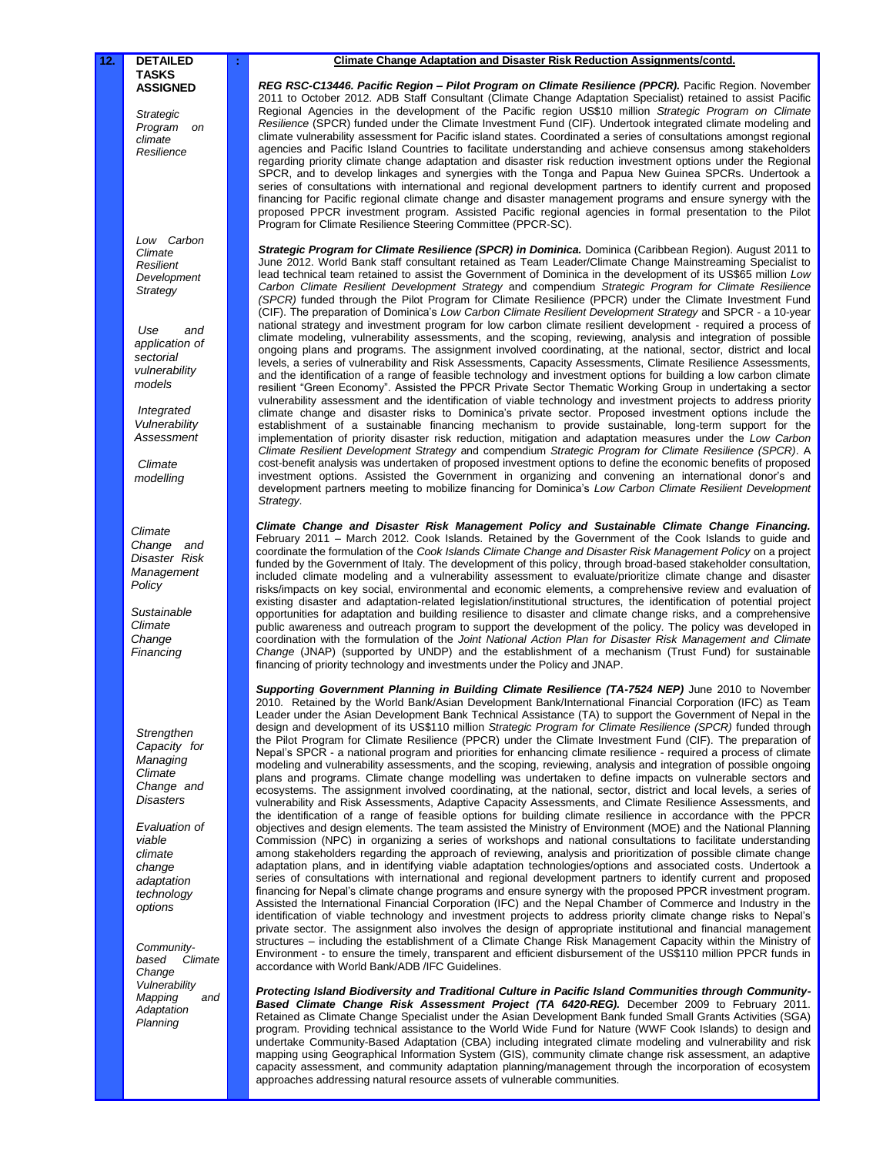*Strategic Program on climate Resilience*

*Low Carbon Climate Resilient Development Strategy* 

*Use and application of sectorial vulnerability models* 

*Integrated Vulnerability Assessment* 

*Climate modelling*

*Climate Change and Disaster Risk Management Policy*

*Sustainable Climate Change Financing*

*Strengthen Capacity for Managing Climate Change and Disasters* 

*Evaluation of viable climate change adaptation technology options*

*Communitybased Climate Change Vulnerability Mapping Adaptation Planning*

#### **: Climate Change Adaptation and Disaster Risk Reduction Assignments/contd.**

*REG RSC-C13446. Pacific Region – Pilot Program on Climate Resilience (PPCR).* Pacific Region. November 2011 to October 2012. ADB Staff Consultant (Climate Change Adaptation Specialist) retained to assist Pacific Regional Agencies in the development of the Pacific region US\$10 million *Strategic Program on Climate Resilience* (SPCR) funded under the Climate Investment Fund (CIF). Undertook integrated climate modeling and climate vulnerability assessment for Pacific island states. Coordinated a series of consultations amongst regional agencies and Pacific Island Countries to facilitate understanding and achieve consensus among stakeholders regarding priority climate change adaptation and disaster risk reduction investment options under the Regional SPCR, and to develop linkages and synergies with the Tonga and Papua New Guinea SPCRs. Undertook a series of consultations with international and regional development partners to identify current and proposed financing for Pacific regional climate change and disaster management programs and ensure synergy with the proposed PPCR investment program. Assisted Pacific regional agencies in formal presentation to the Pilot Program for Climate Resilience Steering Committee (PPCR-SC).

Strategic Program for Climate Resilience (SPCR) in Dominica. Dominica (Caribbean Region). August 2011 to June 2012. World Bank staff consultant retained as Team Leader/Climate Change Mainstreaming Specialist to lead technical team retained to assist the Government of Dominica in the development of its US\$65 million *Low Carbon Climate Resilient Development Strategy* and compendium *Strategic Program for Climate Resilience (SPCR)* funded through the Pilot Program for Climate Resilience (PPCR) under the Climate Investment Fund (CIF). The preparation of Dominica's *Low Carbon Climate Resilient Development Strategy* and SPCR - a 10-year national strategy and investment program for low carbon climate resilient development - required a process of climate modeling, vulnerability assessments, and the scoping, reviewing, analysis and integration of possible ongoing plans and programs. The assignment involved coordinating, at the national, sector, district and local levels, a series of vulnerability and Risk Assessments, Capacity Assessments, Climate Resilience Assessments, and the identification of a range of feasible technology and investment options for building a low carbon climate resilient "Green Economy". Assisted the PPCR Private Sector Thematic Working Group in undertaking a sector vulnerability assessment and the identification of viable technology and investment projects to address priority climate change and disaster risks to Dominica's private sector. Proposed investment options include the establishment of a sustainable financing mechanism to provide sustainable, long-term support for the implementation of priority disaster risk reduction, mitigation and adaptation measures under the *Low Carbon Climate Resilient Development Strategy* and compendium *Strategic Program for Climate Resilience (SPCR)*. A cost-benefit analysis was undertaken of proposed investment options to define the economic benefits of proposed investment options. Assisted the Government in organizing and convening an international donor's and development partners meeting to mobilize financing for Dominica's *Low Carbon Climate Resilient Development Strategy*.

*Climate Change and Disaster Risk Management Policy and Sustainable Climate Change Financing.*  February 2011 – March 2012. Cook Islands. Retained by the Government of the Cook Islands to guide and coordinate the formulation of the *Cook Islands Climate Change and Disaster Risk Management Policy* on a project funded by the Government of Italy. The development of this policy, through broad-based stakeholder consultation, included climate modeling and a vulnerability assessment to evaluate/prioritize climate change and disaster risks/impacts on key social, environmental and economic elements, a comprehensive review and evaluation of existing disaster and adaptation-related legislation/institutional structures, the identification of potential project opportunities for adaptation and building resilience to disaster and climate change risks, and a comprehensive public awareness and outreach program to support the development of the policy. The policy was developed in coordination with the formulation of the *Joint National Action Plan for Disaster Risk Management and Climate Change* (JNAP) (supported by UNDP) and the establishment of a mechanism (Trust Fund) for sustainable financing of priority technology and investments under the Policy and JNAP.

Supporting Government Planning in Building Climate Resilience (TA-7524 NEP) June 2010 to November 2010.Retained by the World Bank/Asian Development Bank/International Financial Corporation (IFC) as Team Leader under the Asian Development Bank Technical Assistance (TA) to support the Government of Nepal in the design and development of its US\$110 million *Strategic Program for Climate Resilience (SPCR)* funded through the Pilot Program for Climate Resilience (PPCR) under the Climate Investment Fund (CIF). The preparation of Nepal's SPCR - a national program and priorities for enhancing climate resilience - required a process of climate modeling and vulnerability assessments, and the scoping, reviewing, analysis and integration of possible ongoing plans and programs. Climate change modelling was undertaken to define impacts on vulnerable sectors and ecosystems. The assignment involved coordinating, at the national, sector, district and local levels, a series of vulnerability and Risk Assessments, Adaptive Capacity Assessments, and Climate Resilience Assessments, and the identification of a range of feasible options for building climate resilience in accordance with the PPCR objectives and design elements. The team assisted the Ministry of Environment (MOE) and the National Planning Commission (NPC) in organizing a series of workshops and national consultations to facilitate understanding among stakeholders regarding the approach of reviewing, analysis and prioritization of possible climate change adaptation plans, and in identifying viable adaptation technologies/options and associated costs. Undertook a series of consultations with international and regional development partners to identify current and proposed financing for Nepal's climate change programs and ensure synergy with the proposed PPCR investment program. Assisted the International Financial Corporation (IFC) and the Nepal Chamber of Commerce and Industry in the identification of viable technology and investment projects to address priority climate change risks to Nepal's private sector. The assignment also involves the design of appropriate institutional and financial management structures – including the establishment of a Climate Change Risk Management Capacity within the Ministry of Environment - to ensure the timely, transparent and efficient disbursement of the US\$110 million PPCR funds in accordance with World Bank/ADB /IFC Guidelines.

*Protecting Island Biodiversity and Traditional Culture in Pacific Island Communities through Community-Based Climate Change Risk Assessment Project (TA 6420-REG).* December 2009 to February 2011. Retained as Climate Change Specialist under the Asian Development Bank funded Small Grants Activities (SGA) program. Providing technical assistance to the World Wide Fund for Nature (WWF Cook Islands) to design and undertake Community-Based Adaptation (CBA) including integrated climate modeling and vulnerability and risk mapping using Geographical Information System (GIS), community climate change risk assessment, an adaptive capacity assessment, and community adaptation planning/management through the incorporation of ecosystem approaches addressing natural resource assets of vulnerable communities.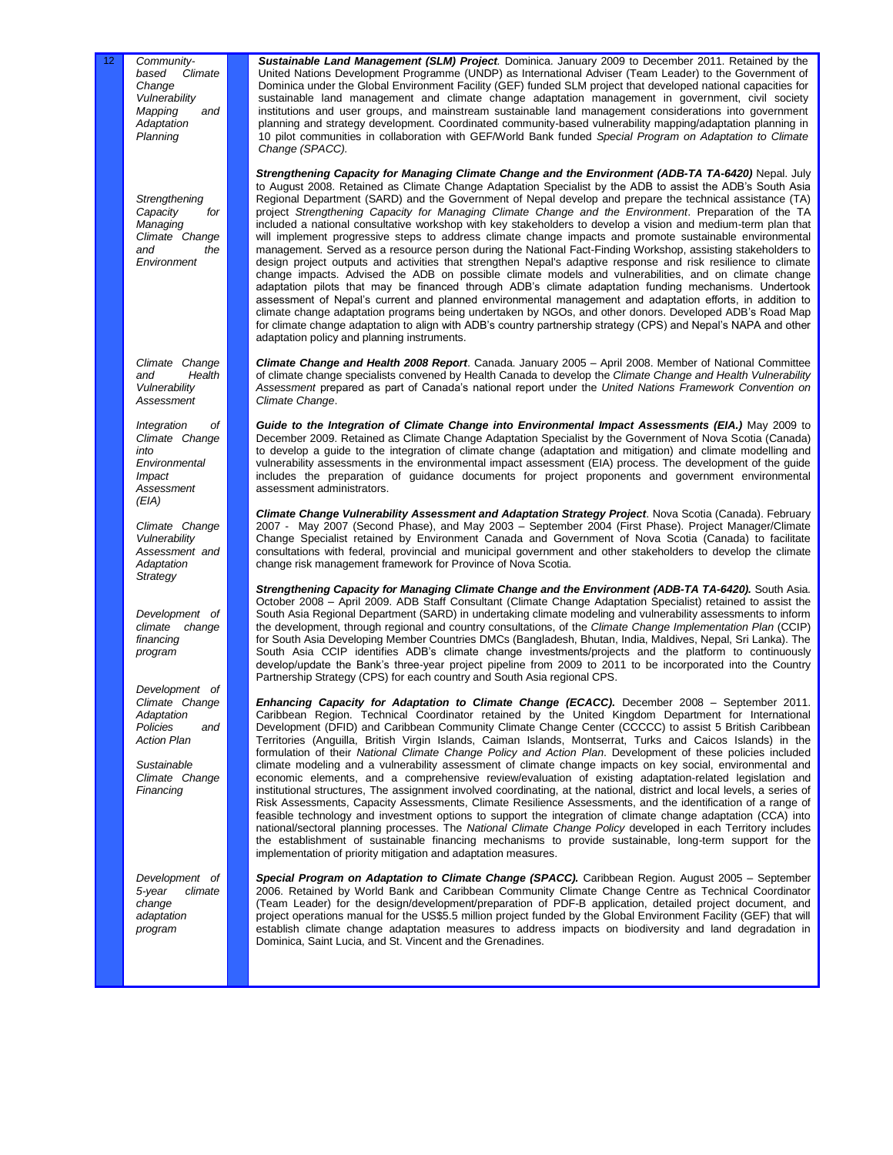Community*based Climate Change Vulnerability Mapping and Adaptation Planning*

*Strengthening*  Capacity *Managing Climate Change and the Environment*

*Climate Change and Health Vulnerability Assessment* 

*Integration of Climate Change into Environmental Impact Assessment (EIA)* 

*Climate Change Vulnerability Assessment and Adaptation Strategy*

*Development of climate change financing program* 

*Development of Climate Change Adaptation Policies and Action Plan*

*Sustainable Climate Change Financing*

*Development of 5-year climate change adaptation program* 

*Sustainable Land Management (SLM) Project.* Dominica. January 2009 to December 2011. Retained by the United Nations Development Programme (UNDP) as International Adviser (Team Leader) to the Government of Dominica under the Global Environment Facility (GEF) funded SLM project that developed national capacities for sustainable land management and climate change adaptation management in government, civil society institutions and user groups, and mainstream sustainable land management considerations into government planning and strategy development. Coordinated community-based vulnerability mapping/adaptation planning in 10 pilot communities in collaboration with GEF/World Bank funded *Special Program on Adaptation to Climate Change (SPACC).*

*Strengthening Capacity for Managing Climate Change and the Environment (ADB-TA TA-6420)* Nepal. July to August 2008. Retained as Climate Change Adaptation Specialist by the ADB to assist the ADB's South Asia Regional Department (SARD) and the Government of Nepal develop and prepare the technical assistance (TA) project *Strengthening Capacity for Managing Climate Change and the Environment*. Preparation of the TA included a national consultative workshop with key stakeholders to develop a vision and medium-term plan that will implement progressive steps to address climate change impacts and promote sustainable environmental management. Served as a resource person during the National Fact-Finding Workshop, assisting stakeholders to design project outputs and activities that strengthen Nepal's adaptive response and risk resilience to climate change impacts. Advised the ADB on possible climate models and vulnerabilities, and on climate change adaptation pilots that may be financed through ADB's climate adaptation funding mechanisms. Undertook assessment of Nepal's current and planned environmental management and adaptation efforts, in addition to climate change adaptation programs being undertaken by NGOs, and other donors. Developed ADB's Road Map for climate change adaptation to align with ADB's country partnership strategy (CPS) and Nepal's NAPA and other adaptation policy and planning instruments.

*Climate Change and Health 2008 Report*. Canada. January 2005 – April 2008. Member of National Committee of climate change specialists convened by Health Canada to develop the *Climate Change and Health Vulnerability Assessment* prepared as part of Canada's national report under the *United Nations Framework Convention on Climate Change*.

*Guide to the Integration of Climate Change into Environmental Impact Assessments (EIA.)* May 2009 to December 2009. Retained as Climate Change Adaptation Specialist by the Government of Nova Scotia (Canada) to develop a guide to the integration of climate change (adaptation and mitigation) and climate modelling and vulnerability assessments in the environmental impact assessment (EIA) process. The development of the guide includes the preparation of guidance documents for project proponents and government environmental assessment administrators.

*Climate Change Vulnerability Assessment and Adaptation Strategy Project*. Nova Scotia (Canada). February 2007 - May 2007 (Second Phase), and May 2003 – September 2004 (First Phase). Project Manager/Climate Change Specialist retained by Environment Canada and Government of Nova Scotia (Canada) to facilitate consultations with federal, provincial and municipal government and other stakeholders to develop the climate change risk management framework for Province of Nova Scotia.

*Strengthening Capacity for Managing Climate Change and the Environment (ADB-TA TA-6420).* South Asia. October 2008 – April 2009. ADB Staff Consultant (Climate Change Adaptation Specialist) retained to assist the South Asia Regional Department (SARD) in undertaking climate modeling and vulnerability assessments to inform the development, through regional and country consultations, of the *Climate Change Implementation Plan* (CCIP) for South Asia Developing Member Countries DMCs (Bangladesh, Bhutan, India, Maldives, Nepal, Sri Lanka). The South Asia CCIP identifies ADB's climate change investments/projects and the platform to continuously develop/update the Bank's three-year project pipeline from 2009 to 2011 to be incorporated into the Country Partnership Strategy (CPS) for each country and South Asia regional CPS.

*Enhancing Capacity for Adaptation to Climate Change (ECACC).* December 2008 – September 2011. Caribbean Region. Technical Coordinator retained by the United Kingdom Department for International Development (DFID) and Caribbean Community Climate Change Center (CCCCC) to assist 5 British Caribbean Territories (Anguilla, British Virgin Islands, Caiman Islands, Montserrat, Turks and Caicos Islands) in the formulation of their *National Climate Change Policy and Action Plan*. Development of these policies included climate modeling and a vulnerability assessment of climate change impacts on key social, environmental and economic elements, and a comprehensive review/evaluation of existing adaptation-related legislation and institutional structures, The assignment involved coordinating, at the national, district and local levels, a series of Risk Assessments, Capacity Assessments, Climate Resilience Assessments, and the identification of a range of feasible technology and investment options to support the integration of climate change adaptation (CCA) into national/sectoral planning processes. The *National Climate Change Policy* developed in each Territory includes the establishment of sustainable financing mechanisms to provide sustainable, long-term support for the implementation of priority mitigation and adaptation measures.

*Special Program on Adaptation to Climate Change (SPACC).* Caribbean Region. August 2005 – September 2006. Retained by World Bank and Caribbean Community Climate Change Centre as Technical Coordinator (Team Leader) for the design/development/preparation of PDF-B application, detailed project document, and project operations manual for the US\$5.5 million project funded by the Global Environment Facility (GEF) that will establish climate change adaptation measures to address impacts on biodiversity and land degradation in Dominica, Saint Lucia, and St. Vincent and the Grenadines.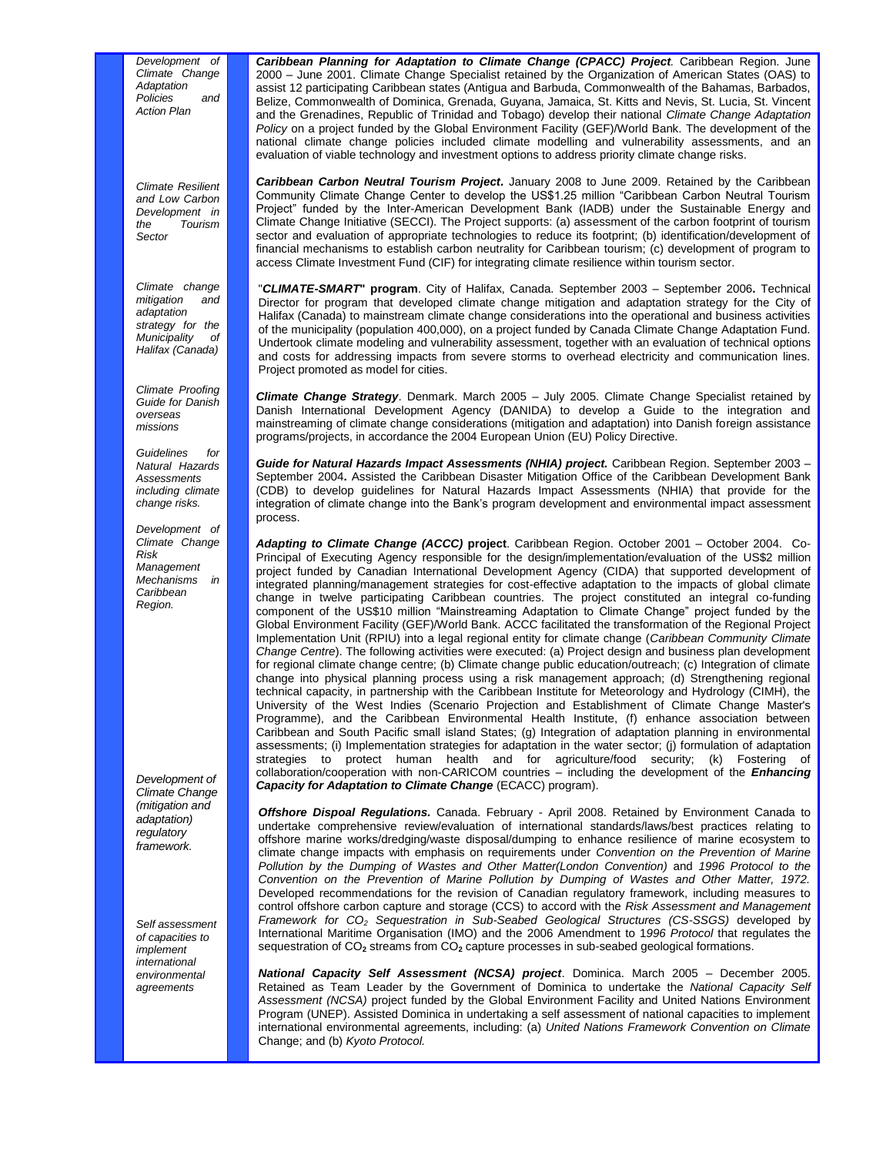*Development of Climate Change Adaptation Policies and Action Plan*

*Climate Resilient and Low Carbon Development in the Tourism Sector*

*Climate change mitigation and adaptation strategy for the Municipality of Halifax (Canada)*

*Climate Proofing Guide for Danish overseas missions* 

*Guidelines for Natural Hazards Assessments including climate change risks.* 

*Development of Climate Change Risk Management Mechanisms in Caribbean Region.* 

*Development of Climate Change (mitigation and adaptation) regulatory framework.* 

*Self assessment of capacities to implement international environmental agreements*

*Caribbean Planning for Adaptation to Climate Change (CPACC) Project.* Caribbean Region. June 2000 – June 2001. Climate Change Specialist retained by the Organization of American States (OAS) to assist 12 participating Caribbean states (Antigua and Barbuda, Commonwealth of the Bahamas, Barbados, Belize, Commonwealth of Dominica, Grenada, Guyana, Jamaica, St. Kitts and Nevis, St. Lucia, St. Vincent and the Grenadines, Republic of Trinidad and Tobago) develop their national *Climate Change Adaptation Policy* on a project funded by the Global Environment Facility (GEF)/World Bank. The development of the national climate change policies included climate modelling and vulnerability assessments, and an evaluation of viable technology and investment options to address priority climate change risks.

*Caribbean Carbon Neutral Tourism Project***.** January 2008 to June 2009. Retained by the Caribbean Community Climate Change Center to develop the US\$1.25 million "Caribbean Carbon Neutral Tourism Project" funded by the Inter-American Development Bank (IADB) under the Sustainable Energy and Climate Change Initiative (SECCI). The Project supports: (a) assessment of the carbon footprint of tourism sector and evaluation of appropriate technologies to reduce its footprint; (b) identification/development of financial mechanisms to establish carbon neutrality for Caribbean tourism; (c) development of program to access Climate Investment Fund (CIF) for integrating climate resilience within tourism sector.

"*CLIMATE-SMART***" program**. City of Halifax, Canada. September 2003 – September 2006**.** Technical Director for program that developed climate change mitigation and adaptation strategy for the City of Halifax (Canada) to mainstream climate change considerations into the operational and business activities of the municipality (population 400,000), on a project funded by Canada Climate Change Adaptation Fund. Undertook climate modeling and vulnerability assessment, together with an evaluation of technical options and costs for addressing impacts from severe storms to overhead electricity and communication lines. Project promoted as model for cities.

*Climate Change Strategy*. Denmark. March 2005 – July 2005. Climate Change Specialist retained by Danish International Development Agency (DANIDA) to develop a Guide to the integration and mainstreaming of climate change considerations (mitigation and adaptation) into Danish foreign assistance programs/projects, in accordance the 2004 European Union (EU) Policy Directive.

*Guide for Natural Hazards Impact Assessments (NHIA) project.* Caribbean Region. September 2003 – September 2004**.** Assisted the Caribbean Disaster Mitigation Office of the Caribbean Development Bank (CDB) to develop guidelines for Natural Hazards Impact Assessments (NHIA) that provide for the integration of climate change into the Bank's program development and environmental impact assessment process.

*Adapting to Climate Change (ACCC)* **project**. Caribbean Region. October 2001 – October 2004. Co-Principal of Executing Agency responsible for the design/implementation/evaluation of the US\$2 million project funded by Canadian International Development Agency (CIDA) that supported development of integrated planning/management strategies for cost-effective adaptation to the impacts of global climate change in twelve participating Caribbean countries. The project constituted an integral co-funding component of the US\$10 million "Mainstreaming Adaptation to Climate Change" project funded by the Global Environment Facility (GEF)/World Bank. ACCC facilitated the transformation of the Regional Project Implementation Unit (RPIU) into a legal regional entity for climate change (*Caribbean Community Climate Change Centre*). The following activities were executed: (a) Project design and business plan development for regional climate change centre; (b) Climate change public education/outreach; (c) Integration of climate change into physical planning process using a risk management approach; (d) Strengthening regional technical capacity, in partnership with the Caribbean Institute for Meteorology and Hydrology (CIMH), the University of the West Indies (Scenario Projection and Establishment of Climate Change Master's Programme), and the Caribbean Environmental Health Institute, (f) enhance association between Caribbean and South Pacific small island States; (g) Integration of adaptation planning in environmental assessments; (i) Implementation strategies for adaptation in the water sector; (j) formulation of adaptation strategies to protect human health and for agriculture/food security; (k) Fostering of collaboration/cooperation with non-CARICOM countries – including the development of the *Enhancing Capacity for Adaptation to Climate Change* (ECACC) program).

*Offshore Dispoal Regulations.* Canada. February - April 2008. Retained by Environment Canada to undertake comprehensive review/evaluation of international standards/laws/best practices relating to offshore marine works/dredging/waste disposal/dumping to enhance resilience of marine ecosystem to climate change impacts with emphasis on requirements under *Convention on the Prevention of Marine Pollution by the Dumping of Wastes and Other Matter(London Convention)* and *1996 Protocol to the Convention on the Prevention of Marine Pollution by Dumping of Wastes and Other Matter, 1972.*  Developed recommendations for the revision of Canadian regulatory framework, including measures to control offshore carbon capture and storage (CCS) to accord with the *Risk Assessment and Management Framework for CO<sup>2</sup> Sequestration in Sub-Seabed Geological Structures (CS-SSGS)* developed by International Maritime Organisation (IMO) and the 2006 Amendment to 1*996 Protocol* that regulates the sequestration of CO**<sup>2</sup>** streams from CO**<sup>2</sup>** capture processes in sub-seabed geological formations.

*National Capacity Self Assessment (NCSA) project*. Dominica. March 2005 – December 2005. Retained as Team Leader by the Government of Dominica to undertake the *National Capacity Self Assessment (NCSA)* project funded by the Global Environment Facility and United Nations Environment Program (UNEP). Assisted Dominica in undertaking a self assessment of national capacities to implement international environmental agreements, including: (a) *United Nations Framework Convention on Climate*  Change; and (b) *Kyoto Protocol.*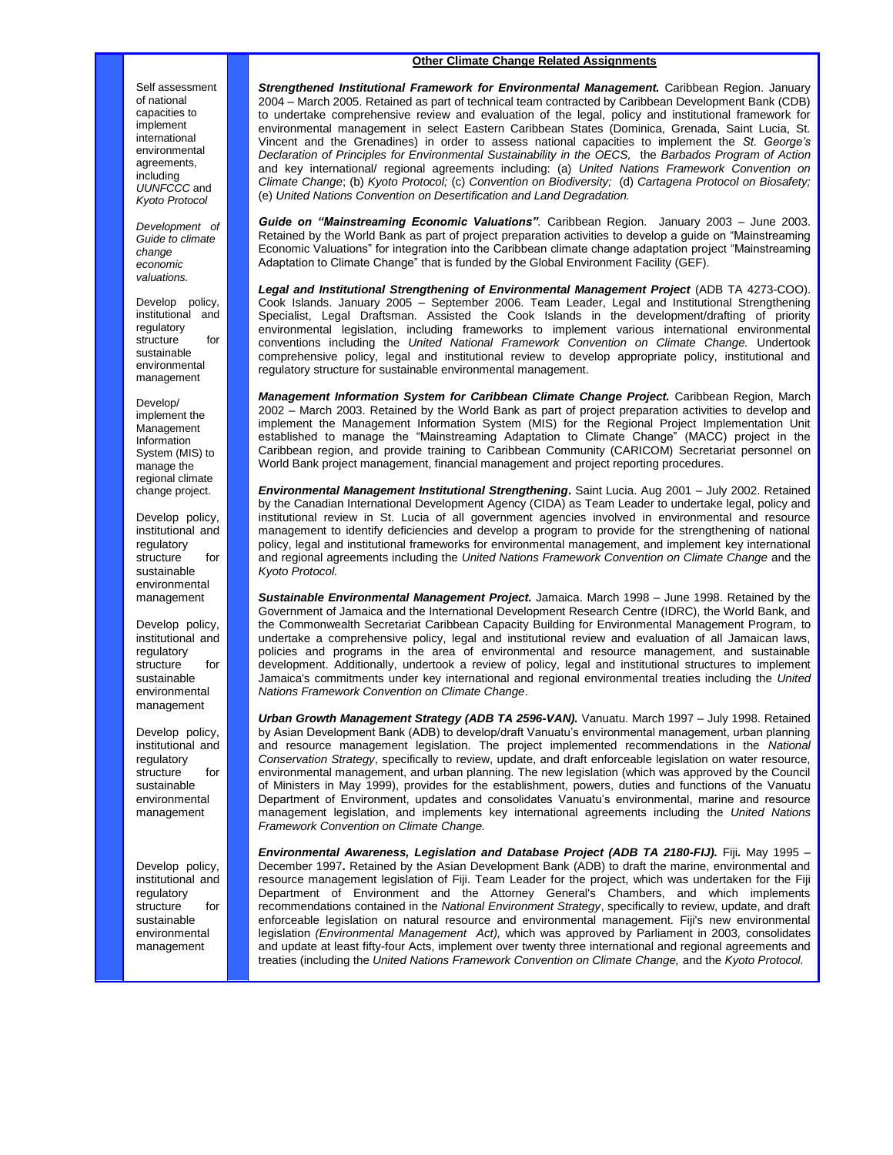## **Other Climate Change Related Assignments**

Self assessment of national capacities to implement international environmental agreements, including *UUNFCCC* and *Kyoto Protocol*

*Development of Guide to climate change economic valuations.* 

Develop policy, institutional and regulatory structure for sustainable environmental management

Develop/ implement the Management Information System (MIS) to manage the regional climate change project.

Develop policy, institutional and regulatory structure for sustainable environmental management

Develop policy, institutional and regulatory structure for sustainable environmental management

Develop policy, institutional and regulatory structure for sustainable environmental management

Develop policy, institutional and regulatory structure for sustainable environmental management

*Strengthened Institutional Framework for Environmental Management.* Caribbean Region. January 2004 – March 2005. Retained as part of technical team contracted by Caribbean Development Bank (CDB) to undertake comprehensive review and evaluation of the legal, policy and institutional framework for environmental management in select Eastern Caribbean States (Dominica, Grenada, Saint Lucia, St. Vincent and the Grenadines) in order to assess national capacities to implement the *St. George's Declaration of Principles for Environmental Sustainability in the OECS,* the *Barbados Program of Action*  and key international/ regional agreements including: (a) *United Nations Framework Convention on Climate Change*; (b) *Kyoto Protocol;* (c) *Convention on Biodiversity;* (d) *Cartagena Protocol on Biosafety;*  (e) *United Nations Convention on Desertification and Land Degradation.* 

*Guide on "Mainstreaming Economic Valuations".* Caribbean Region. January 2003 – June 2003. Retained by the World Bank as part of project preparation activities to develop a guide on "Mainstreaming Economic Valuations" for integration into the Caribbean climate change adaptation project "Mainstreaming Adaptation to Climate Change" that is funded by the Global Environment Facility (GEF).

*Legal and Institutional Strengthening of Environmental Management Project* (ADB TA 4273-COO). Cook Islands. January 2005 – September 2006. Team Leader, Legal and Institutional Strengthening Specialist, Legal Draftsman. Assisted the Cook Islands in the development/drafting of priority environmental legislation, including frameworks to implement various international environmental conventions including the *United National Framework Convention on Climate Change.* Undertook comprehensive policy, legal and institutional review to develop appropriate policy, institutional and regulatory structure for sustainable environmental management.

*Management Information System for Caribbean Climate Change Project.* Caribbean Region, March 2002 – March 2003. Retained by the World Bank as part of project preparation activities to develop and implement the Management Information System (MIS) for the Regional Project Implementation Unit established to manage the "Mainstreaming Adaptation to Climate Change" (MACC) project in the Caribbean region, and provide training to Caribbean Community (CARICOM) Secretariat personnel on World Bank project management, financial management and project reporting procedures.

*Environmental Management Institutional Strengthening***.** Saint Lucia. Aug 2001 – July 2002. Retained by the Canadian International Development Agency (CIDA) as Team Leader to undertake legal, policy and institutional review in St. Lucia of all government agencies involved in environmental and resource management to identify deficiencies and develop a program to provide for the strengthening of national policy, legal and institutional frameworks for environmental management, and implement key international and regional agreements including the *United Nations Framework Convention on Climate Change* and the *Kyoto Protocol.* 

*Sustainable Environmental Management Project.* Jamaica. March 1998 – June 1998. Retained by the Government of Jamaica and the International Development Research Centre (IDRC), the World Bank, and the Commonwealth Secretariat Caribbean Capacity Building for Environmental Management Program, to undertake a comprehensive policy, legal and institutional review and evaluation of all Jamaican laws, policies and programs in the area of environmental and resource management, and sustainable development. Additionally, undertook a review of policy, legal and institutional structures to implement Jamaica's commitments under key international and regional environmental treaties including the *United Nations Framework Convention on Climate Change*.

Urban Growth Management Strategy (ADB TA 2596-VAN). Vanuatu. March 1997 - July 1998. Retained by Asian Development Bank (ADB) to develop/draft Vanuatu's environmental management, urban planning and resource management legislation. The project implemented recommendations in the *National Conservation Strategy*, specifically to review, update, and draft enforceable legislation on water resource, environmental management, and urban planning. The new legislation (which was approved by the Council of Ministers in May 1999), provides for the establishment, powers, duties and functions of the Vanuatu Department of Environment, updates and consolidates Vanuatu's environmental, marine and resource management legislation, and implements key international agreements including the *United Nations Framework Convention on Climate Change.* 

*Environmental Awareness, Legislation and Database Project (ADB TA 2180-FIJ).* Fiji*.* May 1995 – December 1997**.** Retained by the Asian Development Bank (ADB) to draft the marine, environmental and resource management legislation of Fiji. Team Leader for the project, which was undertaken for the Fiji Department of Environment and the Attorney General's Chambers, and which implements recommendations contained in the *National Environment Strategy*, specifically to review, update, and draft enforceable legislation on natural resource and environmental management. Fiji's new environmental legislation *(Environmental Management Act),* which was approved by Parliament in 2003*,* consolidates and update at least fifty-four Acts, implement over twenty three international and regional agreements and treaties (including the *United Nations Framework Convention on Climate Change,* and the *Kyoto Protocol.*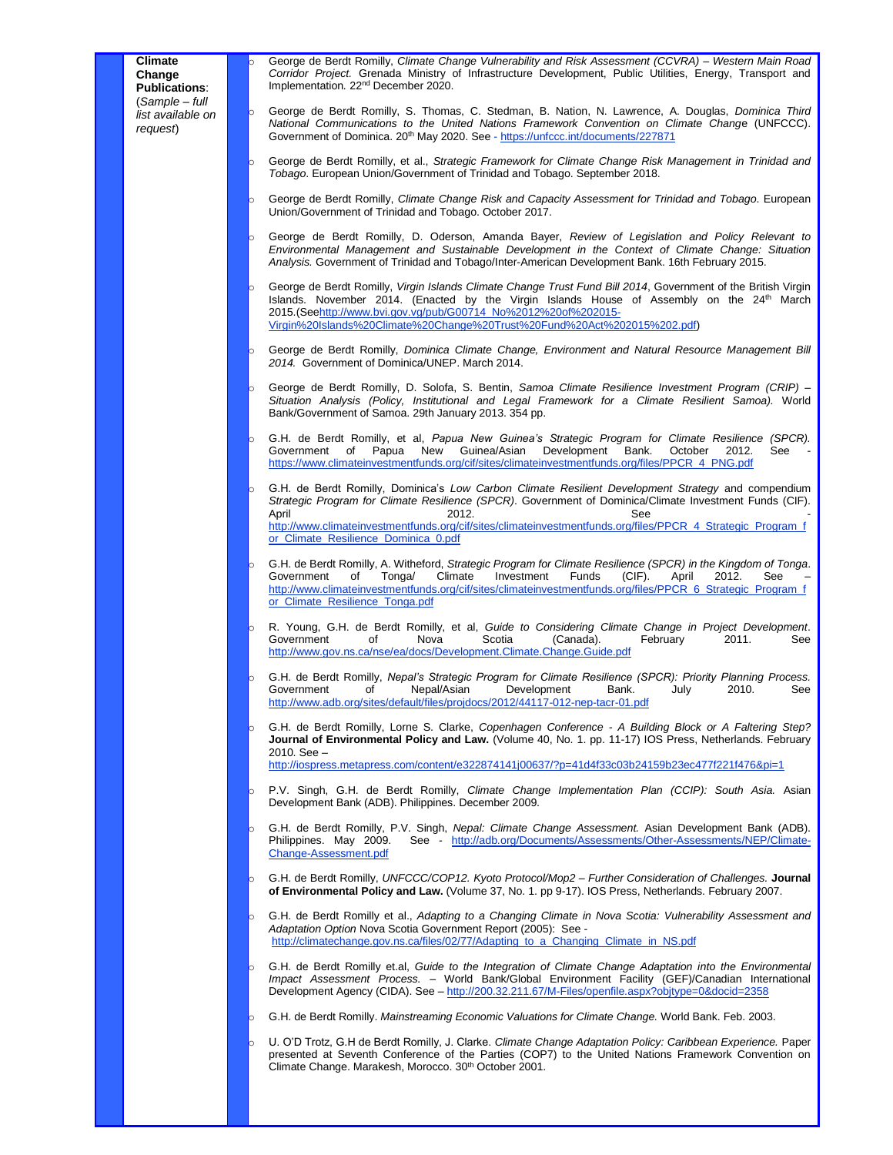o George de Berdt Romilly, *Climate Change Vulnerability and Risk Assessment (CCVRA) – Western Main Road Corridor Project.* Grenada Ministry of Infrastructure Development, Public Utilities, Energy, Transport and Implementation*.* 22nd December 2020.

- o George de Berdt Romilly, S. Thomas, C. Stedman, B. Nation, N. Lawrence, A. Douglas, *Dominica Third National Communications to the United Nations Framework Convention on Climate Chang*e (UNFCCC). Government of Dominica. 20<sup>th</sup> May 2020. See - <https://unfccc.int/documents/227871>
- o George de Berdt Romilly, et al., *Strategic Framework for Climate Change Risk Management in Trinidad and Tobago*. European Union/Government of Trinidad and Tobago. September 2018.
	- George de Berdt Romilly, *Climate Change Risk and Capacity Assessment for Trinidad and Tobago*. European Union/Government of Trinidad and Tobago. October 2017.
- o George de Berdt Romilly, D. Oderson, Amanda Bayer, *Review of Legislation and Policy Relevant to Environmental Management and Sustainable Development in the Context of Climate Change: Situation Analysis.* Government of Trinidad and Tobago/Inter-American Development Bank. 16th February 2015.
- George de Berdt Romilly, Virgin Islands Climate Change Trust Fund Bill 2014, Government of the British Virgin Islands. November 2014. (Enacted by the Virgin Islands House of Assembly on the 24th March 2015.(Se[ehttp://www.bvi.gov.vg/pub/G00714\\_No%2012%20of%202015-](http://www.bvi.gov.vg/pub/G00714_No%2012%20of%202015-Virgin%20Islands%20Climate%20Change%20Trust%20Fund%20Act%202015%202.pdf) [Virgin%20Islands%20Climate%20Change%20Trust%20Fund%20Act%202015%202.pdf\)](http://www.bvi.gov.vg/pub/G00714_No%2012%20of%202015-Virgin%20Islands%20Climate%20Change%20Trust%20Fund%20Act%202015%202.pdf)
- George de Berdt Romilly, *Dominica Climate Change, Environment and Natural Resource Management Bill 2014.* Government of Dominica/UNEP. March 2014.
- George de Berdt Romilly, D. Solofa, S. Bentin, *Samoa Climate Resilience Investment Program (CRIP) Situation Analysis (Policy, Institutional and Legal Framework for a Climate Resilient Samoa).* World Bank/Government of Samoa. 29th January 2013. 354 pp.
- o G.H. de Berdt Romilly, et al, *Papua New Guinea's Strategic Program for Climate Resilience (SPCR).*  Government of Papua New Guinea/Asian Development Bank. October 2012. [https://www.climateinvestmentfunds.org/cif/sites/climateinvestmentfunds.org/files/PPCR\\_4\\_PNG.pdf](https://www.climateinvestmentfunds.org/cif/sites/climateinvestmentfunds.org/files/PPCR_4_PNG.pdf)
- G.H. de Berdt Romilly, Dominica's Low Carbon Climate Resilient Development Strategy and compendium *Strategic Program for Climate Resilience (SPCR)*. Government of Dominica/Climate Investment Funds (CIF). April 2012. See [http://www.climateinvestmentfunds.org/cif/sites/climateinvestmentfunds.org/files/PPCR\\_4\\_Strategic\\_Program\\_f](http://www.climateinvestmentfunds.org/cif/sites/climateinvestmentfunds.org/files/PPCR_4_Strategic_Program_for_Climate_Resilience_Dominica_0.pdf) [or\\_Climate\\_Resilience\\_Dominica\\_0.pdf](http://www.climateinvestmentfunds.org/cif/sites/climateinvestmentfunds.org/files/PPCR_4_Strategic_Program_for_Climate_Resilience_Dominica_0.pdf)
- o G.H. de Berdt Romilly, A. Witheford, *Strategic Program for Climate Resilience (SPCR) in the Kingdom of Tonga*. Climate Investment Funds (CIF). April 2012. See [http://www.climateinvestmentfunds.org/cif/sites/climateinvestmentfunds.org/files/PPCR\\_6\\_Strategic\\_Program\\_f](http://www.climateinvestmentfunds.org/cif/sites/climateinvestmentfunds.org/files/PPCR_6_Strategic_Program_for_Climate_Resilience_Tonga.pdf) [or\\_Climate\\_Resilience\\_Tonga.pdf](http://www.climateinvestmentfunds.org/cif/sites/climateinvestmentfunds.org/files/PPCR_6_Strategic_Program_for_Climate_Resilience_Tonga.pdf)
- o R. Young, G.H. de Berdt Romilly, et al, *Guide to Considering Climate Change in Project Development*. Government <http://www.gov.ns.ca/nse/ea/docs/Development.Climate.Change.Guide.pdf>
- G.H. de Berdt Romilly, *Nepal's Strategic Program for Climate Resilience (SPCR): Priority Planning Process.*<br>
Government of Mepal/Asian Development Bank. July 2010. See Government of Nepal/Asian Development Bank. July 2010. See <http://www.adb.org/sites/default/files/projdocs/2012/44117-012-nep-tacr-01.pdf>
- o G.H. de Berdt Romilly, Lorne S. Clarke, *Copenhagen Conference - A Building Block or A Faltering Step?*  **Journal of Environmental Policy and Law.** (Volume 40, No. 1. pp. 11-17) IOS Press, Netherlands. February 2010. See – [http://iospress.metapress.com/content/e322874141j00637/?p=41d4f33c03b24159b23ec477f221f476&pi=1](http://iospress.metapress.com/content/e322874141j00637/?p=41d4f33c03b24159b23ec477f221f476π=1)
- o P.V. Singh, G.H. de Berdt Romilly, *Climate Change Implementation Plan (CCIP): South Asia.* Asian Development Bank (ADB). Philippines. December 2009.
- G.H. de Berdt Romilly, P.V. Singh, *Nepal: Climate Change Assessment.* Asian Development Bank (ADB). Philippines. May 2009. See - [http://adb.org/Documents/Assessments/Other-Assessments/NEP/Climate-](http://adb.org/Documents/Assessments/Other-Assessments/NEP/Climate-Change-Assessment.pdf)[Change-Assessment.pdf](http://adb.org/Documents/Assessments/Other-Assessments/NEP/Climate-Change-Assessment.pdf)
- o G.H. de Berdt Romilly, *UNFCCC/COP12. Kyoto Protocol/Mop2 – Further Consideration of Challenges.* **Journal of Environmental Policy and Law.** (Volume 37, No. 1. pp 9-17). IOS Press, Netherlands. February 2007.
- o G.H. de Berdt Romilly et al., *Adapting to a Changing Climate in Nova Scotia: Vulnerability Assessment and Adaptation Option* Nova Scotia Government Report (2005): See [http://climatechange.gov.ns.ca/files/02/77/Adapting\\_to\\_a\\_Changing\\_Climate\\_in\\_NS.pdf](http://climatechange.gov.ns.ca/files/02/77/Adapting_to_a_Changing_Climate_in_NS.pdf)
- G.H. de Berdt Romilly et.al, *Guide to the Integration of Climate Change Adaptation into the Environmental Impact Assessment Process. –* World Bank/Global Environment Facility (GEF)/Canadian International Development Agency (CIDA). See - <http://200.32.211.67/M-Files/openfile.aspx?objtype=0&docid=2358>
- o G.H. de Berdt Romilly. *Mainstreaming Economic Valuations for Climate Change.* World Bank. Feb. 2003.
- U. O'D Trotz, G.H de Berdt Romilly, J. Clarke. *Climate Change Adaptation Policy: Caribbean Experience.* Paper presented at Seventh Conference of the Parties (COP7) to the United Nations Framework Convention on Climate Change. Marakesh, Morocco. 30th October 2001.